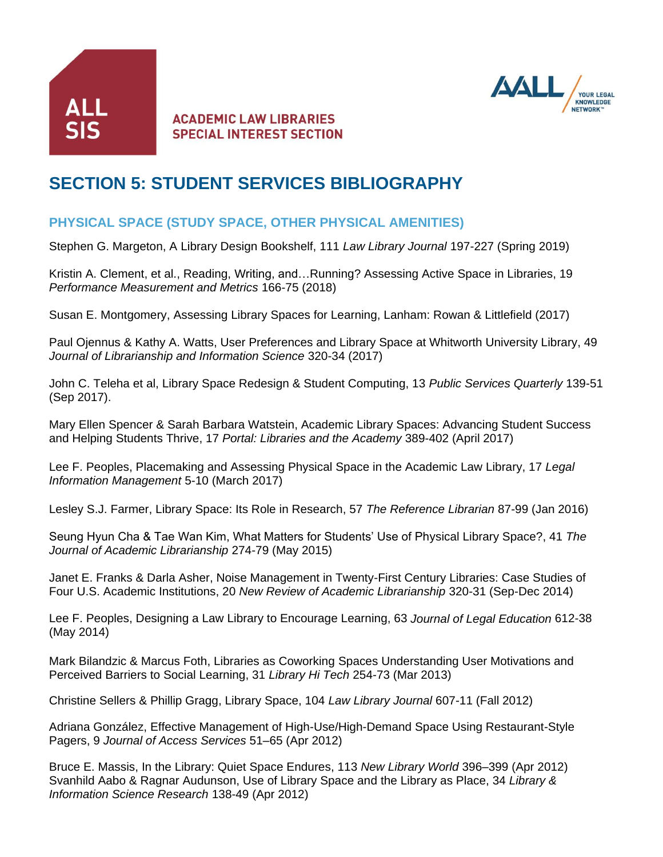



# **SECTION 5: STUDENT SERVICES BIBLIOGRAPHY**

# **PHYSICAL SPACE (STUDY SPACE, OTHER PHYSICAL AMENITIES)**

Stephen G. Margeton, A Library Design Bookshelf, 111 *Law Library Journal* 197-227 (Spring 2019)

Kristin A. Clement, et al., Reading, Writing, and…Running? Assessing Active Space in Libraries, 19 *Performance Measurement and Metrics* 166-75 (2018)

Susan E. Montgomery, Assessing Library Spaces for Learning, Lanham: Rowan & Littlefield (2017)

Paul Ojennus & Kathy A. Watts, User Preferences and Library Space at Whitworth University Library, 49 *Journal of Librarianship and Information Science* 320-34 (2017)

John C. Teleha et al, Library Space Redesign & Student Computing, 13 *Public Services Quarterly* 139-51 (Sep 2017).

Mary Ellen Spencer & Sarah Barbara Watstein, Academic Library Spaces: Advancing Student Success and Helping Students Thrive, 17 *Portal: Libraries and the Academy* 389-402 (April 2017)

Lee F. Peoples, Placemaking and Assessing Physical Space in the Academic Law Library, 17 *Legal Information Management* 5-10 (March 2017)

Lesley S.J. Farmer, Library Space: Its Role in Research, 57 *The Reference Librarian* 87-99 (Jan 2016)

Seung Hyun Cha & Tae Wan Kim, What Matters for Students' Use of Physical Library Space?, 41 *The Journal of Academic Librarianship* 274-79 (May 2015)

Janet E. Franks & Darla Asher, Noise Management in Twenty-First Century Libraries: Case Studies of Four U.S. Academic Institutions, 20 *New Review of Academic Librarianship* 320-31 (Sep-Dec 2014)

Lee F. Peoples, Designing a Law Library to Encourage Learning, 63 *Journal of Legal Education* 612-38 (May 2014)

Mark Bilandzic & Marcus Foth, Libraries as Coworking Spaces Understanding User Motivations and Perceived Barriers to Social Learning, 31 *Library Hi Tech* 254-73 (Mar 2013)

Christine Sellers & Phillip Gragg, Library Space, 104 *Law Library Journal* 607-11 (Fall 2012)

Adriana González, Effective Management of High-Use/High-Demand Space Using Restaurant-Style Pagers, 9 *Journal of Access Services* 51–65 (Apr 2012)

Bruce E. Massis, In the Library: Quiet Space Endures, 113 *New Library World* 396–399 (Apr 2012) Svanhild Aabo & Ragnar Audunson, Use of Library Space and the Library as Place, 34 *Library & Information Science Research* 138-49 (Apr 2012)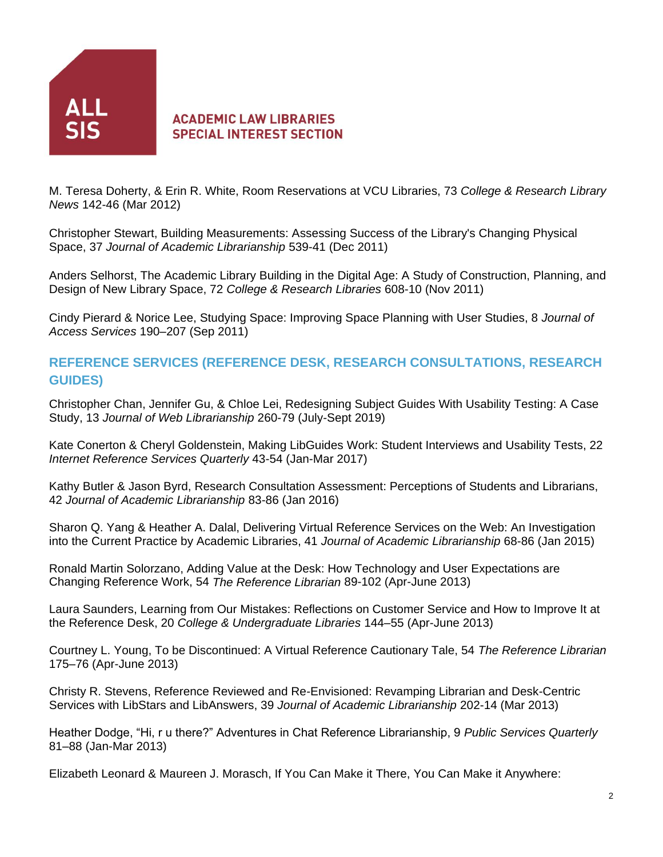

M. Teresa Doherty, & Erin R. White, Room Reservations at VCU Libraries, 73 *College & Research Library News* 142-46 (Mar 2012)

Christopher Stewart, Building Measurements: Assessing Success of the Library's Changing Physical Space, 37 *Journal of Academic Librarianship* 539-41 (Dec 2011)

Anders Selhorst, The Academic Library Building in the Digital Age: A Study of Construction, Planning, and Design of New Library Space, 72 *College & Research Libraries* 608-10 (Nov 2011)

Cindy Pierard & Norice Lee, Studying Space: Improving Space Planning with User Studies, 8 *Journal of Access Services* 190–207 (Sep 2011)

# **REFERENCE SERVICES (REFERENCE DESK, RESEARCH CONSULTATIONS, RESEARCH GUIDES)**

Christopher Chan, Jennifer Gu, & Chloe Lei, Redesigning Subject Guides With Usability Testing: A Case Study, 13 *Journal of Web Librarianship* 260-79 (July-Sept 2019)

Kate Conerton & Cheryl Goldenstein, Making LibGuides Work: Student Interviews and Usability Tests, 22 *Internet Reference Services Quarterly* 43-54 (Jan-Mar 2017)

Kathy Butler & Jason Byrd, Research Consultation Assessment: Perceptions of Students and Librarians, 42 *Journal of Academic Librarianship* 83-86 (Jan 2016)

Sharon Q. Yang & Heather A. Dalal, Delivering Virtual Reference Services on the Web: An Investigation into the Current Practice by Academic Libraries, 41 *Journal of Academic Librarianship* 68-86 (Jan 2015)

Ronald Martin Solorzano, Adding Value at the Desk: How Technology and User Expectations are Changing Reference Work, 54 *The Reference Librarian* 89-102 (Apr-June 2013)

Laura Saunders, Learning from Our Mistakes: Reflections on Customer Service and How to Improve It at the Reference Desk, 20 *College & Undergraduate Libraries* 144–55 (Apr-June 2013)

Courtney L. Young, To be Discontinued: A Virtual Reference Cautionary Tale, 54 *The Reference Librarian* 175–76 (Apr-June 2013)

Christy R. Stevens, Reference Reviewed and Re-Envisioned: Revamping Librarian and Desk-Centric Services with LibStars and LibAnswers, 39 *Journal of Academic Librarianship* 202-14 (Mar 2013)

Heather Dodge, "Hi, r u there?" Adventures in Chat Reference Librarianship, 9 *Public Services Quarterly* 81–88 (Jan-Mar 2013)

Elizabeth Leonard & Maureen J. Morasch, If You Can Make it There, You Can Make it Anywhere: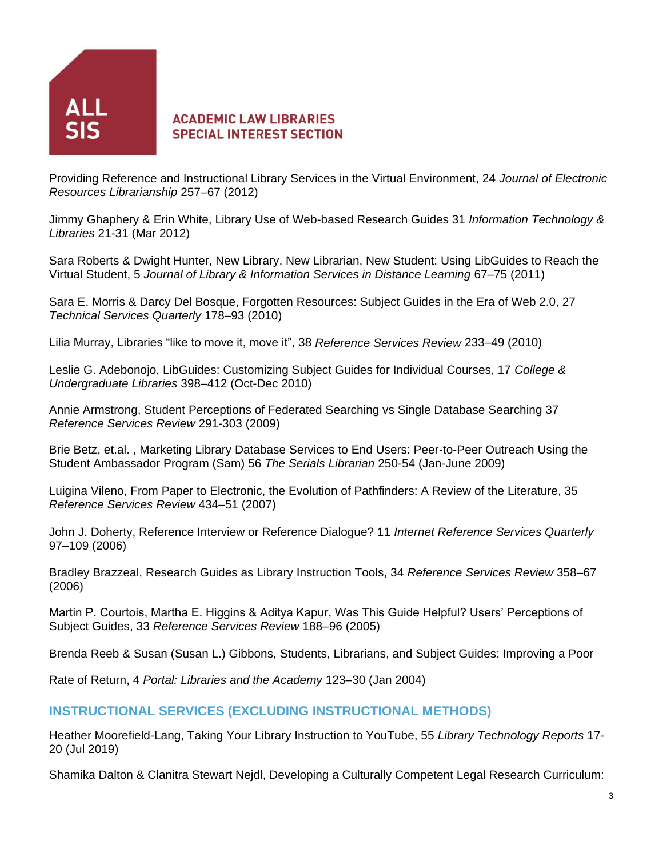

Providing Reference and Instructional Library Services in the Virtual Environment, 24 *Journal of Electronic Resources Librarianship* 257–67 (2012)

Jimmy Ghaphery & Erin White, Library Use of Web-based Research Guides 31 *Information Technology & Libraries* 21-31 (Mar 2012)

Sara Roberts & Dwight Hunter, New Library, New Librarian, New Student: Using LibGuides to Reach the Virtual Student, 5 *Journal of Library & Information Services in Distance Learning* 67–75 (2011)

Sara E. Morris & Darcy Del Bosque, Forgotten Resources: Subject Guides in the Era of Web 2.0, 27 *Technical Services Quarterly* 178–93 (2010)

Lilia Murray, Libraries "like to move it, move it", 38 *Reference Services Review* 233–49 (2010)

Leslie G. Adebonojo, LibGuides: Customizing Subject Guides for Individual Courses, 17 *College & Undergraduate Libraries* 398–412 (Oct-Dec 2010)

Annie Armstrong, Student Perceptions of Federated Searching vs Single Database Searching 37 *Reference Services Review* 291-303 (2009)

Brie Betz, et.al. , Marketing Library Database Services to End Users: Peer-to-Peer Outreach Using the Student Ambassador Program (Sam) 56 *The Serials Librarian* 250-54 (Jan-June 2009)

Luigina Vileno, From Paper to Electronic, the Evolution of Pathfinders: A Review of the Literature, 35 *Reference Services Review* 434–51 (2007)

John J. Doherty, Reference Interview or Reference Dialogue? 11 *Internet Reference Services Quarterly* 97–109 (2006)

Bradley Brazzeal, Research Guides as Library Instruction Tools, 34 *Reference Services Review* 358–67 (2006)

Martin P. Courtois, Martha E. Higgins & Aditya Kapur, Was This Guide Helpful? Users' Perceptions of Subject Guides, 33 *Reference Services Review* 188–96 (2005)

Brenda Reeb & Susan (Susan L.) Gibbons, Students, Librarians, and Subject Guides: Improving a Poor

Rate of Return, 4 *Portal: Libraries and the Academy* 123–30 (Jan 2004)

#### **INSTRUCTIONAL SERVICES (EXCLUDING INSTRUCTIONAL METHODS)**

Heather Moorefield-Lang, Taking Your Library Instruction to YouTube, 55 *Library Technology Reports* 17- 20 (Jul 2019)

Shamika Dalton & Clanitra Stewart Nejdl, Developing a Culturally Competent Legal Research Curriculum: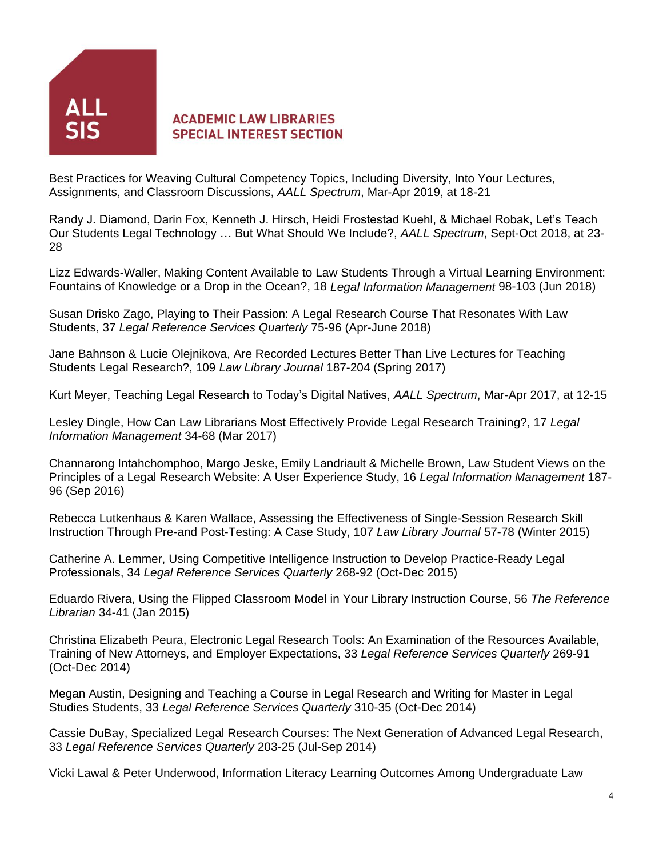

Best Practices for Weaving Cultural Competency Topics, Including Diversity, Into Your Lectures, Assignments, and Classroom Discussions, *AALL Spectrum*, Mar-Apr 2019, at 18-21

Randy J. Diamond, Darin Fox, Kenneth J. Hirsch, Heidi Frostestad Kuehl, & Michael Robak, Let's Teach Our Students Legal Technology … But What Should We Include?, *AALL Spectrum*, Sept-Oct 2018, at 23- 28

Lizz Edwards-Waller, Making Content Available to Law Students Through a Virtual Learning Environment: Fountains of Knowledge or a Drop in the Ocean?, 18 *Legal Information Management* 98-103 (Jun 2018)

Susan Drisko Zago, Playing to Their Passion: A Legal Research Course That Resonates With Law Students, 37 *Legal Reference Services Quarterly* 75-96 (Apr-June 2018)

Jane Bahnson & Lucie Olejnikova, Are Recorded Lectures Better Than Live Lectures for Teaching Students Legal Research?, 109 *Law Library Journal* 187-204 (Spring 2017)

Kurt Meyer, Teaching Legal Research to Today's Digital Natives, *AALL Spectrum*, Mar-Apr 2017, at 12-15

Lesley Dingle, How Can Law Librarians Most Effectively Provide Legal Research Training?, 17 *Legal Information Management* 34-68 (Mar 2017)

Channarong Intahchomphoo, Margo Jeske, Emily Landriault & Michelle Brown, Law Student Views on the Principles of a Legal Research Website: A User Experience Study, 16 *Legal Information Management* 187- 96 (Sep 2016)

Rebecca Lutkenhaus & Karen Wallace, Assessing the Effectiveness of Single-Session Research Skill Instruction Through Pre-and Post-Testing: A Case Study, 107 *Law Library Journal* 57-78 (Winter 2015)

Catherine A. Lemmer, Using Competitive Intelligence Instruction to Develop Practice-Ready Legal Professionals, 34 *Legal Reference Services Quarterly* 268-92 (Oct-Dec 2015)

Eduardo Rivera, Using the Flipped Classroom Model in Your Library Instruction Course, 56 *The Reference Librarian* 34-41 (Jan 2015)

Christina Elizabeth Peura, Electronic Legal Research Tools: An Examination of the Resources Available, Training of New Attorneys, and Employer Expectations, 33 *Legal Reference Services Quarterly* 269-91 (Oct-Dec 2014)

Megan Austin, Designing and Teaching a Course in Legal Research and Writing for Master in Legal Studies Students, 33 *Legal Reference Services Quarterly* 310-35 (Oct-Dec 2014)

Cassie DuBay, Specialized Legal Research Courses: The Next Generation of Advanced Legal Research, 33 *Legal Reference Services Quarterly* 203-25 (Jul-Sep 2014)

Vicki Lawal & Peter Underwood, Information Literacy Learning Outcomes Among Undergraduate Law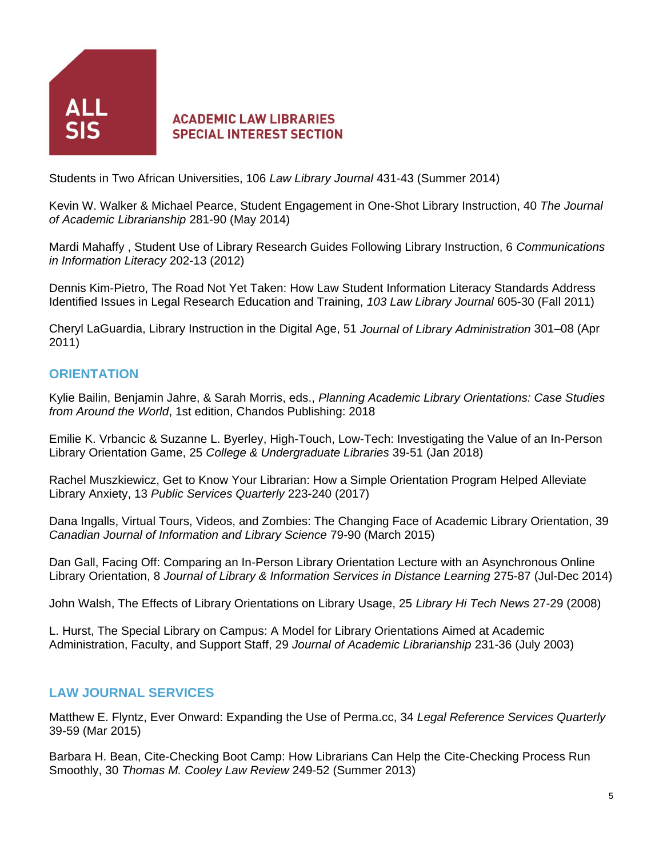

Students in Two African Universities, 106 *Law Library Journal* 431-43 (Summer 2014)

Kevin W. Walker & Michael Pearce, Student Engagement in One-Shot Library Instruction, 40 *The Journal of Academic Librarianship* 281-90 (May 2014)

Mardi Mahaffy , Student Use of Library Research Guides Following Library Instruction, 6 *Communications in Information Literacy* 202-13 (2012)

Dennis Kim-Pietro, The Road Not Yet Taken: How Law Student Information Literacy Standards Address Identified Issues in Legal Research Education and Training, *103 Law Library Journal* 605-30 (Fall 2011)

Cheryl LaGuardia, Library Instruction in the Digital Age, 51 *Journal of Library Administration* 301–08 (Apr 2011)

#### **ORIENTATION**

Kylie Bailin, Benjamin Jahre, & Sarah Morris, eds., *Planning Academic Library Orientations: Case Studies from Around the World*, 1st edition, Chandos Publishing: 2018

Emilie K. Vrbancic & Suzanne L. Byerley, High-Touch, Low-Tech: Investigating the Value of an In-Person Library Orientation Game, 25 *College & Undergraduate Libraries* 39-51 (Jan 2018)

Rachel Muszkiewicz, Get to Know Your Librarian: How a Simple Orientation Program Helped Alleviate Library Anxiety, 13 *Public Services Quarterly* 223-240 (2017)

Dana Ingalls, Virtual Tours, Videos, and Zombies: The Changing Face of Academic Library Orientation, 39 *Canadian Journal of Information and Library Science* 79-90 (March 2015)

Dan Gall, Facing Off: Comparing an In-Person Library Orientation Lecture with an Asynchronous Online Library Orientation, 8 *Journal of Library & Information Services in Distance Learning* 275-87 (Jul-Dec 2014)

John Walsh, The Effects of Library Orientations on Library Usage, 25 *Library Hi Tech News* 27-29 (2008)

L. Hurst, The Special Library on Campus: A Model for Library Orientations Aimed at Academic Administration, Faculty, and Support Staff, 29 *Journal of Academic Librarianship* 231-36 (July 2003)

# **LAW JOURNAL SERVICES**

Matthew E. Flyntz, Ever Onward: Expanding the Use of Perma.cc, 34 *Legal Reference Services Quarterly* 39-59 (Mar 2015)

Barbara H. Bean, Cite-Checking Boot Camp: How Librarians Can Help the Cite-Checking Process Run Smoothly, 30 *Thomas M. Cooley Law Review* 249-52 (Summer 2013)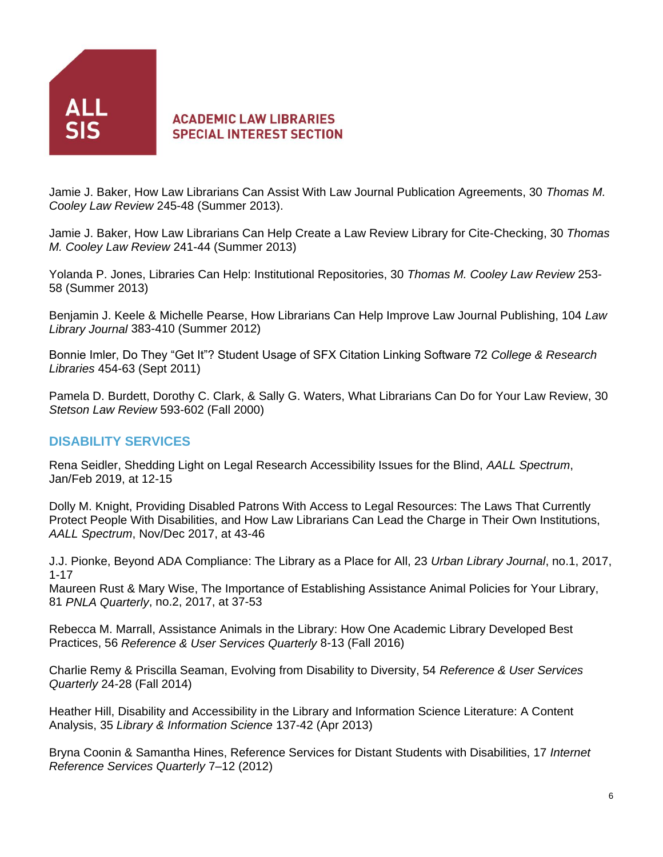

Jamie J. Baker, How Law Librarians Can Assist With Law Journal Publication Agreements, 30 *Thomas M. Cooley Law Review* 245-48 (Summer 2013).

Jamie J. Baker, How Law Librarians Can Help Create a Law Review Library for Cite-Checking, 30 *Thomas M. Cooley Law Review* 241-44 (Summer 2013)

Yolanda P. Jones, Libraries Can Help: Institutional Repositories, 30 *Thomas M. Cooley Law Review* 253- 58 (Summer 2013)

Benjamin J. Keele & Michelle Pearse, How Librarians Can Help Improve Law Journal Publishing, 104 *Law Library Journal* 383-410 (Summer 2012)

Bonnie Imler, Do They "Get It"? Student Usage of SFX Citation Linking Software 72 *College & Research Libraries* 454-63 (Sept 2011)

Pamela D. Burdett, Dorothy C. Clark, & Sally G. Waters, What Librarians Can Do for Your Law Review, 30 *Stetson Law Review* 593-602 (Fall 2000)

# **DISABILITY SERVICES**

Rena Seidler, Shedding Light on Legal Research Accessibility Issues for the Blind, *AALL Spectrum*, Jan/Feb 2019, at 12-15

Dolly M. Knight, Providing Disabled Patrons With Access to Legal Resources: The Laws That Currently Protect People With Disabilities, and How Law Librarians Can Lead the Charge in Their Own Institutions, *AALL Spectrum*, Nov/Dec 2017, at 43-46

J.J. Pionke, Beyond ADA Compliance: The Library as a Place for All, 23 *Urban Library Journal*, no.1, 2017, 1-17

Maureen Rust & Mary Wise, The Importance of Establishing Assistance Animal Policies for Your Library, 81 *PNLA Quarterly*, no.2, 2017, at 37-53

Rebecca M. Marrall, Assistance Animals in the Library: How One Academic Library Developed Best Practices, 56 *Reference & User Services Quarterly* 8-13 (Fall 2016)

Charlie Remy & Priscilla Seaman, Evolving from Disability to Diversity, 54 *Reference & User Services Quarterly* 24-28 (Fall 2014)

Heather Hill, Disability and Accessibility in the Library and Information Science Literature: A Content Analysis, 35 *Library & Information Science* 137-42 (Apr 2013)

Bryna Coonin & Samantha Hines, Reference Services for Distant Students with Disabilities, 17 *Internet Reference Services Quarterly* 7–12 (2012)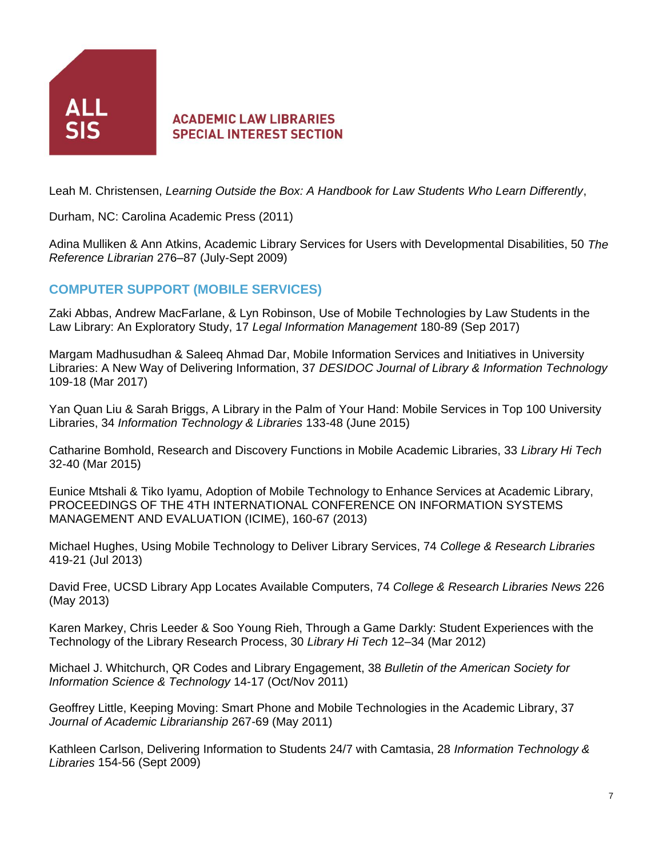

Leah M. Christensen, *Learning Outside the Box: A Handbook for Law Students Who Learn Differently*,

Durham, NC: Carolina Academic Press (2011)

Adina Mulliken & Ann Atkins, Academic Library Services for Users with Developmental Disabilities, 50 *The Reference Librarian* 276–87 (July-Sept 2009)

# **COMPUTER SUPPORT (MOBILE SERVICES)**

Zaki Abbas, Andrew MacFarlane, & Lyn Robinson, Use of Mobile Technologies by Law Students in the Law Library: An Exploratory Study, 17 *Legal Information Management* 180-89 (Sep 2017)

Margam Madhusudhan & Saleeq Ahmad Dar, Mobile Information Services and Initiatives in University Libraries: A New Way of Delivering Information, 37 *DESIDOC Journal of Library & Information Technology* 109-18 (Mar 2017)

Yan Quan Liu & Sarah Briggs, A Library in the Palm of Your Hand: Mobile Services in Top 100 University Libraries, 34 *Information Technology & Libraries* 133-48 (June 2015)

Catharine Bomhold, Research and Discovery Functions in Mobile Academic Libraries, 33 *Library Hi Tech* 32-40 (Mar 2015)

Eunice Mtshali & Tiko Iyamu, Adoption of Mobile Technology to Enhance Services at Academic Library, PROCEEDINGS OF THE 4TH INTERNATIONAL CONFERENCE ON INFORMATION SYSTEMS MANAGEMENT AND EVALUATION (ICIME), 160-67 (2013)

Michael Hughes, Using Mobile Technology to Deliver Library Services, 74 *College & Research Libraries* 419-21 (Jul 2013)

David Free, UCSD Library App Locates Available Computers, 74 *College & Research Libraries News* 226 (May 2013)

Karen Markey, Chris Leeder & Soo Young Rieh, Through a Game Darkly: Student Experiences with the Technology of the Library Research Process, 30 *Library Hi Tech* 12–34 (Mar 2012)

Michael J. Whitchurch, QR Codes and Library Engagement, 38 *Bulletin of the American Society for Information Science & Technology* 14-17 (Oct/Nov 2011)

Geoffrey Little, Keeping Moving: Smart Phone and Mobile Technologies in the Academic Library, 37 *Journal of Academic Librarianship* 267-69 (May 2011)

Kathleen Carlson, Delivering Information to Students 24/7 with Camtasia, 28 *Information Technology & Libraries* 154-56 (Sept 2009)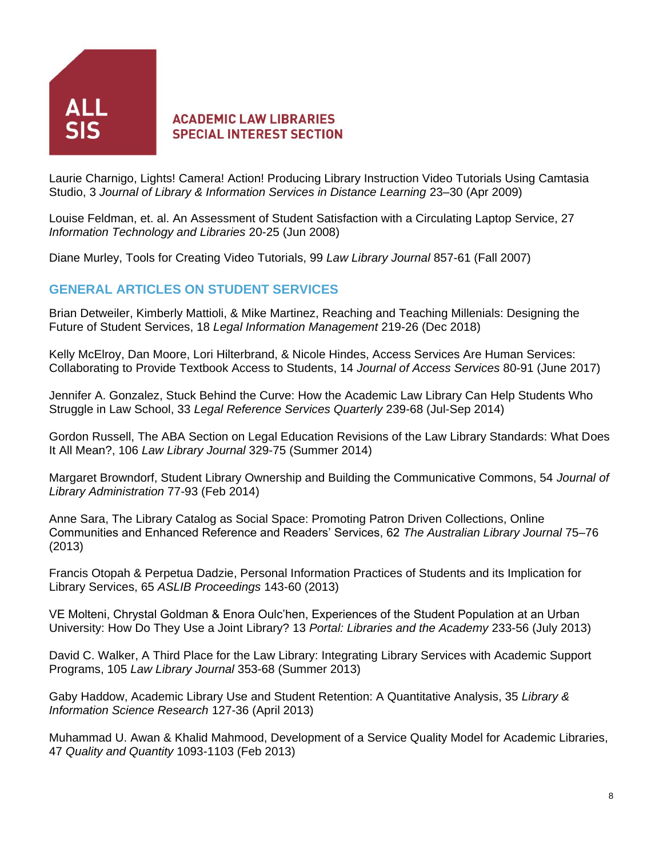

Laurie Charnigo, Lights! Camera! Action! Producing Library Instruction Video Tutorials Using Camtasia Studio, 3 *Journal of Library & Information Services in Distance Learning* 23–30 (Apr 2009)

Louise Feldman, et. al. An Assessment of Student Satisfaction with a Circulating Laptop Service, 27 *Information Technology and Libraries* 20-25 (Jun 2008)

Diane Murley, Tools for Creating Video Tutorials, 99 *Law Library Journal* 857-61 (Fall 2007)

#### **GENERAL ARTICLES ON STUDENT SERVICES**

Brian Detweiler, Kimberly Mattioli, & Mike Martinez, Reaching and Teaching Millenials: Designing the Future of Student Services, 18 *Legal Information Management* 219-26 (Dec 2018)

Kelly McElroy, Dan Moore, Lori Hilterbrand, & Nicole Hindes, Access Services Are Human Services: Collaborating to Provide Textbook Access to Students, 14 *Journal of Access Services* 80-91 (June 2017)

Jennifer A. Gonzalez, Stuck Behind the Curve: How the Academic Law Library Can Help Students Who Struggle in Law School, 33 *Legal Reference Services Quarterly* 239-68 (Jul-Sep 2014)

Gordon Russell, The ABA Section on Legal Education Revisions of the Law Library Standards: What Does It All Mean?, 106 *Law Library Journal* 329-75 (Summer 2014)

Margaret Browndorf, Student Library Ownership and Building the Communicative Commons, 54 *Journal of Library Administration* 77-93 (Feb 2014)

Anne Sara, The Library Catalog as Social Space: Promoting Patron Driven Collections, Online Communities and Enhanced Reference and Readers' Services, 62 *The Australian Library Journal* 75–76 (2013)

Francis Otopah & Perpetua Dadzie, Personal Information Practices of Students and its Implication for Library Services, 65 *ASLIB Proceedings* 143-60 (2013)

VE Molteni, Chrystal Goldman & Enora Oulc'hen, Experiences of the Student Population at an Urban University: How Do They Use a Joint Library? 13 *Portal: Libraries and the Academy* 233-56 (July 2013)

David C. Walker, A Third Place for the Law Library: Integrating Library Services with Academic Support Programs, 105 *Law Library Journal* 353-68 (Summer 2013)

Gaby Haddow, Academic Library Use and Student Retention: A Quantitative Analysis, 35 *Library & Information Science Research* 127-36 (April 2013)

Muhammad U. Awan & Khalid Mahmood, Development of a Service Quality Model for Academic Libraries, 47 *Quality and Quantity* 1093-1103 (Feb 2013)